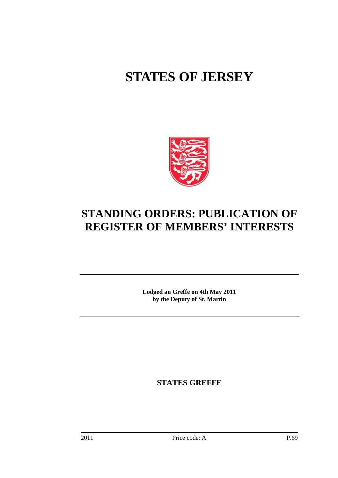# **STATES OF JERSEY**



## **STANDING ORDERS: PUBLICATION OF REGISTER OF MEMBERS' INTERESTS**

**Lodged au Greffe on 4th May 2011 by the Deputy of St. Martin** 

**STATES GREFFE**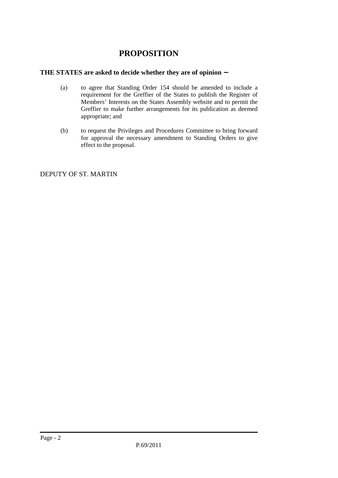### **PROPOSITION**

#### **THE STATES are asked to decide whether they are of opinion** −

- (a) to agree that Standing Order 154 should be amended to include a requirement for the Greffier of the States to publish the Register of Members' Interests on the States Assembly website and to permit the Greffier to make further arrangements for its publication as deemed appropriate; and
- (b) to request the Privileges and Procedures Committee to bring forward for approval the necessary amendment to Standing Orders to give effect to the proposal.

DEPUTY OF ST. MARTIN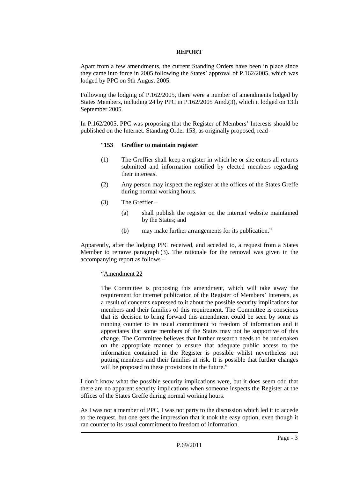#### **REPORT**

Apart from a few amendments, the current Standing Orders have been in place since they came into force in 2005 following the States' approval of P.162/2005, which was lodged by PPC on 9th August 2005.

Following the lodging of P.162/2005, there were a number of amendments lodged by States Members, including 24 by PPC in P.162/2005 Amd.(3), which it lodged on 13th September 2005.

In P.162/2005, PPC was proposing that the Register of Members' Interests should be published on the Internet. Standing Order 153, as originally proposed, read –

#### "**153 Greffier to maintain register**

- (1) The Greffier shall keep a register in which he or she enters all returns submitted and information notified by elected members regarding their interests.
- (2) Any person may inspect the register at the offices of the States Greffe during normal working hours.
- (3) The Greffier
	- (a) shall publish the register on the internet website maintained by the States; and
	- (b) may make further arrangements for its publication."

Apparently, after the lodging PPC received, and acceded to, a request from a States Member to remove paragraph (3). The rationale for the removal was given in the accompanying report as follows –

#### "Amendment 22

The Committee is proposing this amendment, which will take away the requirement for internet publication of the Register of Members' Interests, as a result of concerns expressed to it about the possible security implications for members and their families of this requirement. The Committee is conscious that its decision to bring forward this amendment could be seen by some as running counter to its usual commitment to freedom of information and it appreciates that some members of the States may not be supportive of this change. The Committee believes that further research needs to be undertaken on the appropriate manner to ensure that adequate public access to the information contained in the Register is possible whilst nevertheless not putting members and their families at risk. It is possible that further changes will be proposed to these provisions in the future."

I don't know what the possible security implications were, but it does seem odd that there are no apparent security implications when someone inspects the Register at the offices of the States Greffe during normal working hours.

As I was not a member of PPC, I was not party to the discussion which led it to accede to the request, but one gets the impression that it took the easy option, even though it ran counter to its usual commitment to freedom of information.